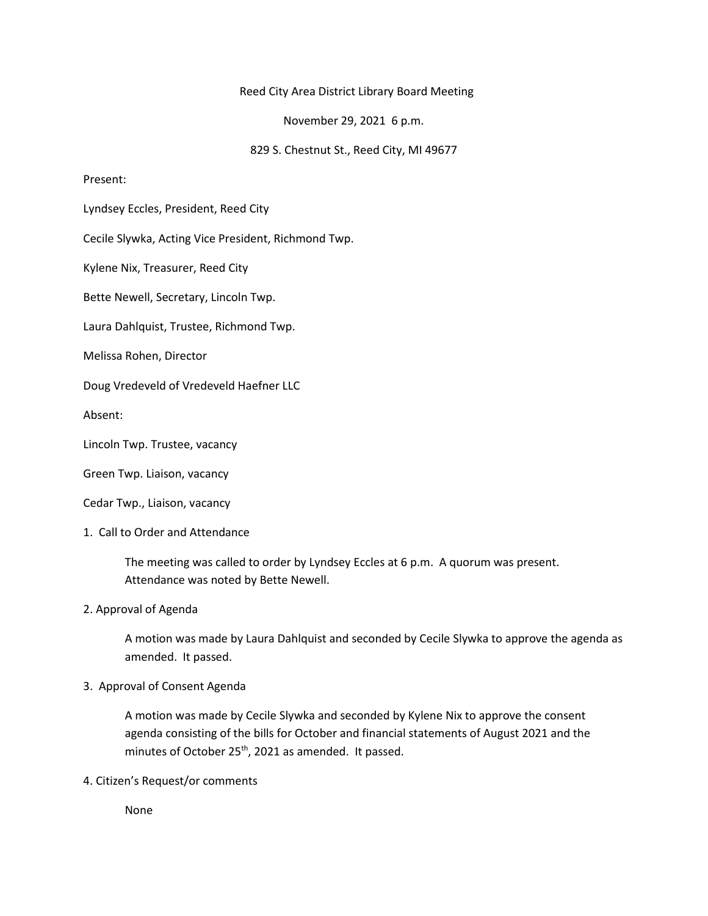## Reed City Area District Library Board Meeting

November 29, 2021 6 p.m.

829 S. Chestnut St., Reed City, MI 49677

## Present:

Lyndsey Eccles, President, Reed City

Cecile Slywka, Acting Vice President, Richmond Twp.

Kylene Nix, Treasurer, Reed City

Bette Newell, Secretary, Lincoln Twp.

Laura Dahlquist, Trustee, Richmond Twp.

Melissa Rohen, Director

Doug Vredeveld of Vredeveld Haefner LLC

Absent:

Lincoln Twp. Trustee, vacancy

Green Twp. Liaison, vacancy

Cedar Twp., Liaison, vacancy

## 1. Call to Order and Attendance

The meeting was called to order by Lyndsey Eccles at 6 p.m. A quorum was present. Attendance was noted by Bette Newell.

2. Approval of Agenda

A motion was made by Laura Dahlquist and seconded by Cecile Slywka to approve the agenda as amended. It passed.

## 3. Approval of Consent Agenda

A motion was made by Cecile Slywka and seconded by Kylene Nix to approve the consent agenda consisting of the bills for October and financial statements of August 2021 and the minutes of October 25<sup>th</sup>, 2021 as amended. It passed.

4. Citizen's Request/or comments

None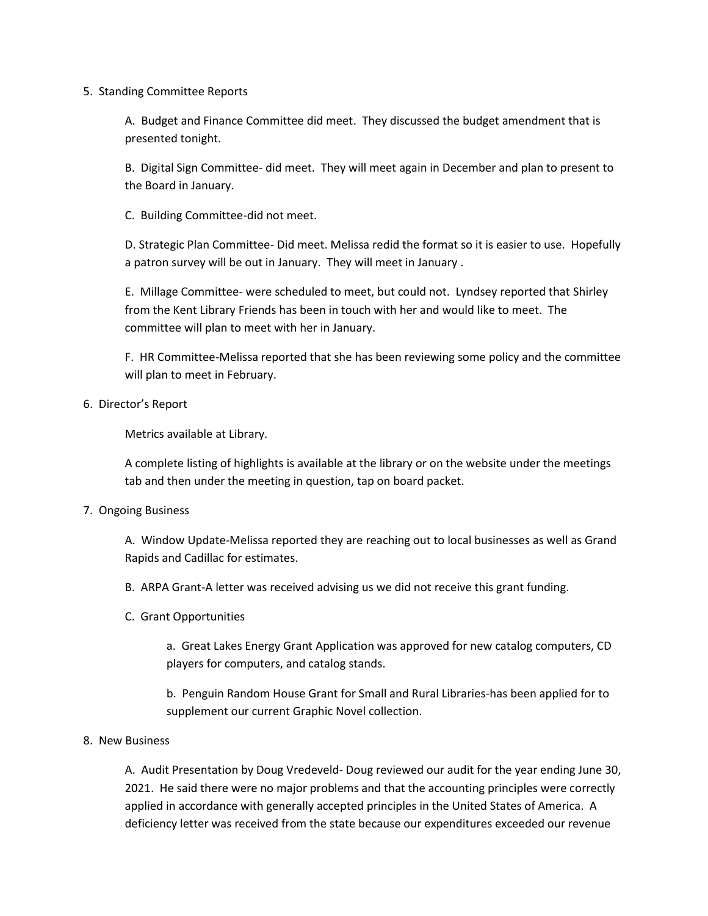## 5. Standing Committee Reports

A. Budget and Finance Committee did meet. They discussed the budget amendment that is presented tonight.

B. Digital Sign Committee- did meet. They will meet again in December and plan to present to the Board in January.

C. Building Committee-did not meet.

D. Strategic Plan Committee- Did meet. Melissa redid the format so it is easier to use. Hopefully a patron survey will be out in January. They will meet in January .

E. Millage Committee- were scheduled to meet, but could not. Lyndsey reported that Shirley from the Kent Library Friends has been in touch with her and would like to meet. The committee will plan to meet with her in January.

F. HR Committee-Melissa reported that she has been reviewing some policy and the committee will plan to meet in February.

# 6. Director's Report

Metrics available at Library.

A complete listing of highlights is available at the library or on the website under the meetings tab and then under the meeting in question, tap on board packet.

# 7. Ongoing Business

A. Window Update-Melissa reported they are reaching out to local businesses as well as Grand Rapids and Cadillac for estimates.

- B. ARPA Grant-A letter was received advising us we did not receive this grant funding.
- C. Grant Opportunities

a. Great Lakes Energy Grant Application was approved for new catalog computers, CD players for computers, and catalog stands.

b. Penguin Random House Grant for Small and Rural Libraries-has been applied for to supplement our current Graphic Novel collection.

# 8. New Business

A. Audit Presentation by Doug Vredeveld- Doug reviewed our audit for the year ending June 30, 2021. He said there were no major problems and that the accounting principles were correctly applied in accordance with generally accepted principles in the United States of America. A deficiency letter was received from the state because our expenditures exceeded our revenue